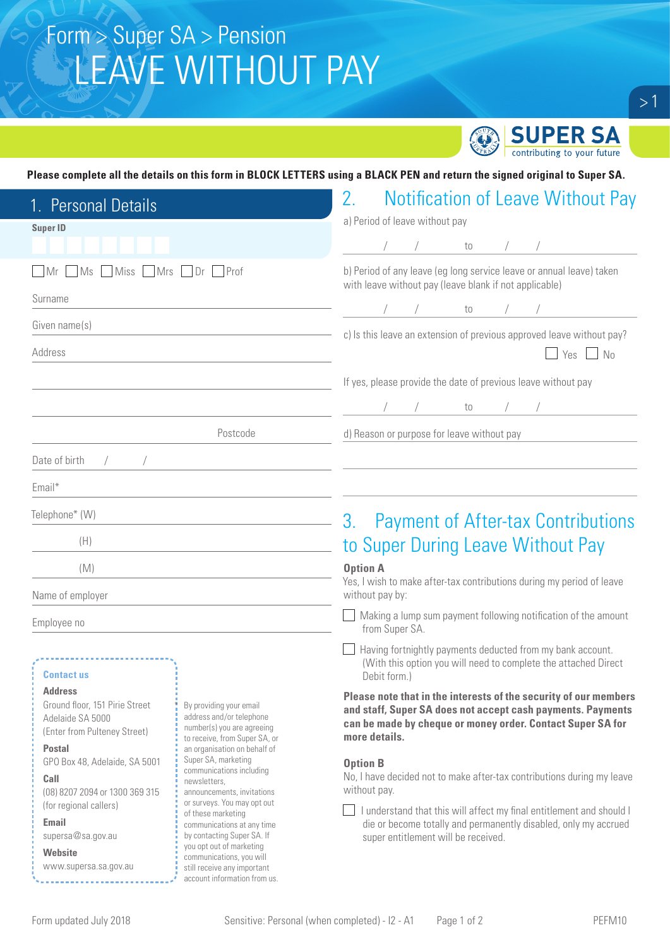# Form > Super SA > Pension LEAVE WITHOUT PAY



#### **Please complete all the details on this form in BLOCK LETTERS using a BLACK PEN and return the signed original to Super SA.**

| 1. Personal Details                                                                                                   |                                                                                                                                                                                                                                                                        | 2.<br><b>Notification of Leave Without Pay</b>                                                                                                                                                                 |  |  |  |
|-----------------------------------------------------------------------------------------------------------------------|------------------------------------------------------------------------------------------------------------------------------------------------------------------------------------------------------------------------------------------------------------------------|----------------------------------------------------------------------------------------------------------------------------------------------------------------------------------------------------------------|--|--|--|
| <b>Super ID</b>                                                                                                       |                                                                                                                                                                                                                                                                        | a) Period of leave without pay                                                                                                                                                                                 |  |  |  |
|                                                                                                                       |                                                                                                                                                                                                                                                                        | to $/$ /                                                                                                                                                                                                       |  |  |  |
| Miss Mrs Dr Prof<br>MS<br>Mr                                                                                          |                                                                                                                                                                                                                                                                        | b) Period of any leave (eg long service leave or annual leave) taken<br>with leave without pay (leave blank if not applicable)                                                                                 |  |  |  |
| Surname                                                                                                               |                                                                                                                                                                                                                                                                        |                                                                                                                                                                                                                |  |  |  |
| Given name(s)                                                                                                         |                                                                                                                                                                                                                                                                        | $\sqrt{10}$<br>c) Is this leave an extension of previous approved leave without pay?                                                                                                                           |  |  |  |
| Address                                                                                                               |                                                                                                                                                                                                                                                                        | Yes $\Box$ No                                                                                                                                                                                                  |  |  |  |
|                                                                                                                       |                                                                                                                                                                                                                                                                        | If yes, please provide the date of previous leave without pay                                                                                                                                                  |  |  |  |
|                                                                                                                       |                                                                                                                                                                                                                                                                        | to $/$ /                                                                                                                                                                                                       |  |  |  |
|                                                                                                                       | Postcode                                                                                                                                                                                                                                                               | d) Reason or purpose for leave without pay                                                                                                                                                                     |  |  |  |
| Date of birth<br>$\sqrt{2}$                                                                                           |                                                                                                                                                                                                                                                                        |                                                                                                                                                                                                                |  |  |  |
| Email*                                                                                                                |                                                                                                                                                                                                                                                                        |                                                                                                                                                                                                                |  |  |  |
| Telephone* (W)                                                                                                        |                                                                                                                                                                                                                                                                        | 3.<br><b>Payment of After-tax Contributions</b>                                                                                                                                                                |  |  |  |
| (H)                                                                                                                   |                                                                                                                                                                                                                                                                        | to Super During Leave Without Pay                                                                                                                                                                              |  |  |  |
| (M)                                                                                                                   |                                                                                                                                                                                                                                                                        | <b>Option A</b>                                                                                                                                                                                                |  |  |  |
| Name of employer                                                                                                      |                                                                                                                                                                                                                                                                        | Yes, I wish to make after-tax contributions during my period of leave<br>without pay by:                                                                                                                       |  |  |  |
| Employee no                                                                                                           |                                                                                                                                                                                                                                                                        | Making a lump sum payment following notification of the amount<br>from Super SA.                                                                                                                               |  |  |  |
| <b>Contact us</b>                                                                                                     |                                                                                                                                                                                                                                                                        | Having fortnightly payments deducted from my bank account.<br>(With this option you will need to complete the attached Direct<br>Debit form.)                                                                  |  |  |  |
| <b>Address</b><br>Ground floor, 151 Pirie Street<br>Adelaide SA 5000<br>(Enter from Pulteney Street)<br><b>Postal</b> | By providing your email<br>address and/or telephone<br>number(s) you are agreeing<br>to receive, from Super SA, or<br>an organisation on behalf of                                                                                                                     | Please note that in the interests of the security of our members<br>and staff, Super SA does not accept cash payments. Payments<br>can be made by cheque or money order. Contact Super SA for<br>more details. |  |  |  |
| GPO Box 48, Adelaide, SA 5001<br>Call<br>(08) 8207 2094 or 1300 369 315                                               | Super SA, marketing<br>communications including<br>newsletters,<br>announcements, invitations<br>or surveys. You may opt out<br>of these marketing<br>communications at any time<br>by contacting Super SA. If<br>you opt out of marketing<br>communications, you will | <b>Option B</b><br>No, I have decided not to make after-tax contributions during my leave<br>without pay.                                                                                                      |  |  |  |
| (for regional callers)<br>Email<br>supersa@sa.gov.au<br><b>Website</b>                                                |                                                                                                                                                                                                                                                                        | I understand that this will affect my final entitlement and should I<br>die or become totally and permanently disabled, only my accrued<br>super entitlement will be received.                                 |  |  |  |
| www.supersa.sa.gov.au                                                                                                 | still receive any important<br>account information from us.                                                                                                                                                                                                            |                                                                                                                                                                                                                |  |  |  |